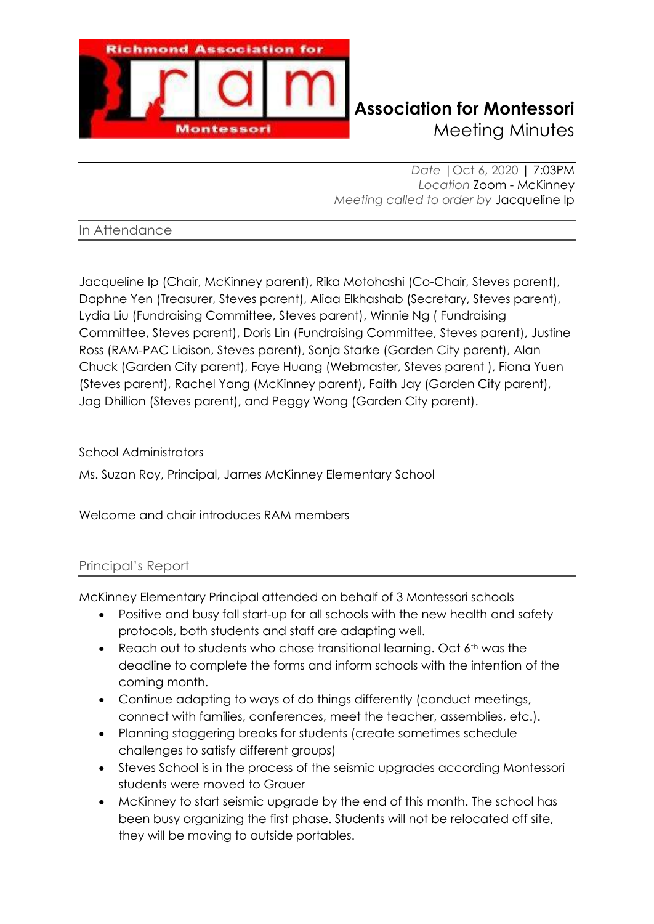

*Date |*Oct 6, 2020 | 7:03PM *Location* Zoom - McKinney *Meeting called to order by* Jacqueline Ip

In Attendance

Jacqueline Ip (Chair, McKinney parent), Rika Motohashi (Co-Chair, Steves parent), Daphne Yen (Treasurer, Steves parent), Aliaa Elkhashab (Secretary, Steves parent), Lydia Liu (Fundraising Committee, Steves parent), Winnie Ng ( Fundraising Committee, Steves parent), Doris Lin (Fundraising Committee, Steves parent), Justine Ross (RAM-PAC Liaison, Steves parent), Sonja Starke (Garden City parent), Alan Chuck (Garden City parent), Faye Huang (Webmaster, Steves parent ), Fiona Yuen (Steves parent), Rachel Yang (McKinney parent), Faith Jay (Garden City parent), Jag Dhillion (Steves parent), and Peggy Wong (Garden City parent).

School Administrators

Ms. Suzan Roy, Principal, James McKinney Elementary School

Welcome and chair introduces RAM members

### Principal's Report

McKinney Elementary Principal attended on behalf of 3 Montessori schools

- Positive and busy fall start-up for all schools with the new health and safety protocols, both students and staff are adapting well.
- Reach out to students who chose transitional learning. Oct  $6<sup>th</sup>$  was the deadline to complete the forms and inform schools with the intention of the coming month.
- Continue adapting to ways of do things differently (conduct meetings, connect with families, conferences, meet the teacher, assemblies, etc.).
- Planning staggering breaks for students (create sometimes schedule challenges to satisfy different groups)
- Steves School is in the process of the seismic upgrades according Montessori students were moved to Grauer
- McKinney to start seismic upgrade by the end of this month. The school has been busy organizing the first phase. Students will not be relocated off site, they will be moving to outside portables.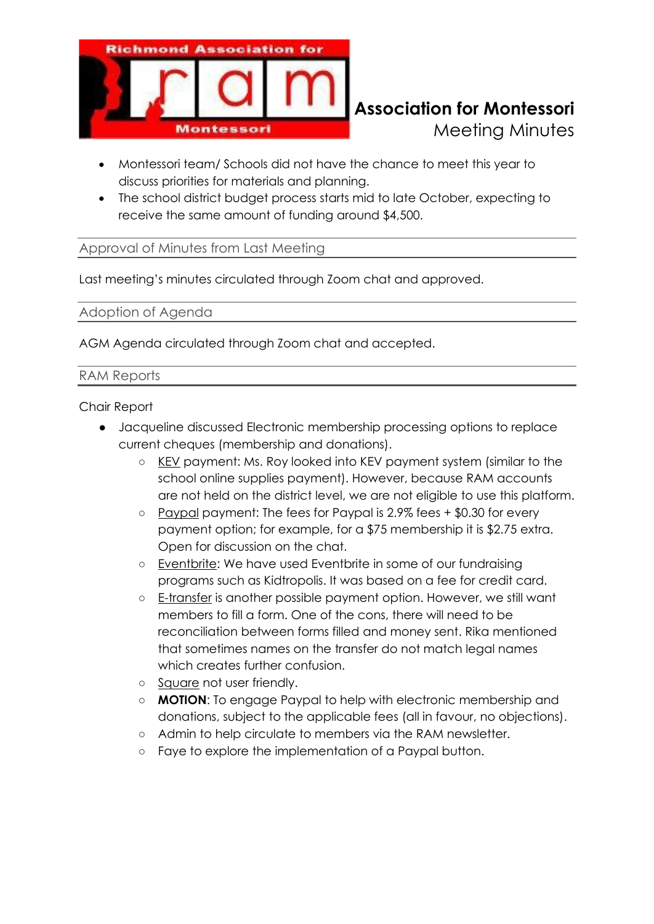

- Montessori team/ Schools did not have the chance to meet this year to discuss priorities for materials and planning.
- The school district budget process starts mid to late October, expecting to receive the same amount of funding around \$4,500.

### Approval of Minutes from Last Meeting

Last meeting's minutes circulated through Zoom chat and approved.

Adoption of Agenda

AGM Agenda circulated through Zoom chat and accepted.

#### RAM Reports

Chair Report

- Jacqueline discussed Electronic membership processing options to replace current cheques (membership and donations).
	- KEV payment: Ms. Roy looked into KEV payment system (similar to the school online supplies payment). However, because RAM accounts are not held on the district level, we are not eligible to use this platform.
	- Paypal payment: The fees for Paypal is 2.9% fees + \$0.30 for every payment option; for example, for a \$75 membership it is \$2.75 extra. Open for discussion on the chat.
	- Eventbrite: We have used Eventbrite in some of our fundraising programs such as Kidtropolis. It was based on a fee for credit card.
	- E-transfer is another possible payment option. However, we still want members to fill a form. One of the cons, there will need to be reconciliation between forms filled and money sent. Rika mentioned that sometimes names on the transfer do not match legal names which creates further confusion.
	- Square not user friendly.
	- **MOTION**: To engage Paypal to help with electronic membership and donations, subject to the applicable fees (all in favour, no objections).
	- Admin to help circulate to members via the RAM newsletter.
	- Faye to explore the implementation of a Paypal button.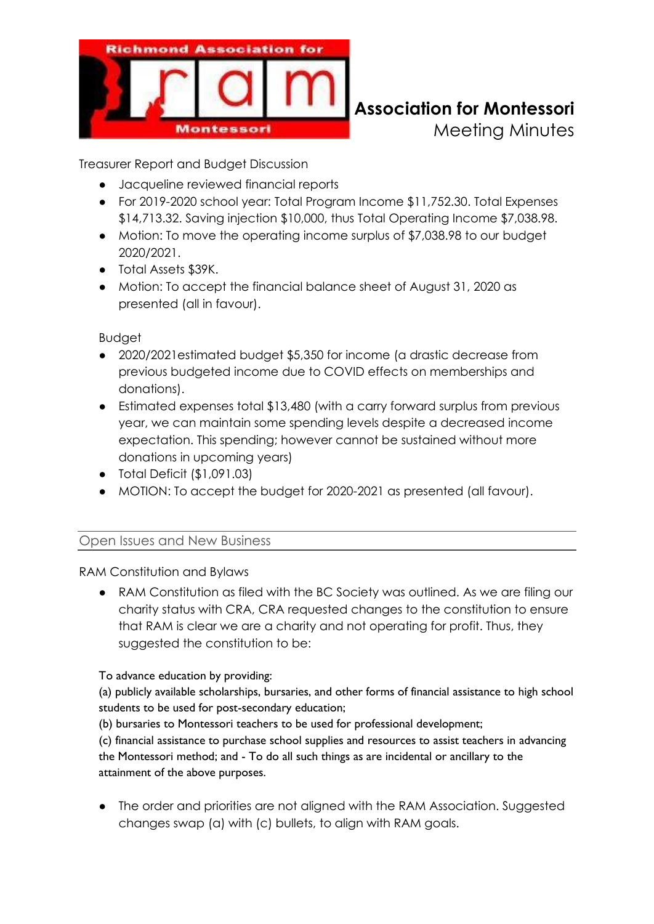

Treasurer Report and Budget Discussion

- Jacqueline reviewed financial reports
- For 2019-2020 school year: Total Program Income \$11,752.30. Total Expenses \$14,713.32. Saving injection \$10,000, thus Total Operating Income \$7,038.98.
- Motion: To move the operating income surplus of \$7,038.98 to our budget 2020/2021.
- Total Assets \$39K.
- Motion: To accept the financial balance sheet of August 31, 2020 as presented (all in favour).

Budget

- 2020/2021estimated budget \$5,350 for income (a drastic decrease from previous budgeted income due to COVID effects on memberships and donations).
- Estimated expenses total \$13,480 (with a carry forward surplus from previous year, we can maintain some spending levels despite a decreased income expectation. This spending; however cannot be sustained without more donations in upcoming years)
- Total Deficit (\$1,091.03)
- MOTION: To accept the budget for 2020-2021 as presented (all favour).

### Open Issues and New Business

RAM Constitution and Bylaws

● RAM Constitution as filed with the BC Society was outlined. As we are filing our charity status with CRA, CRA requested changes to the constitution to ensure that RAM is clear we are a charity and not operating for profit. Thus, they suggested the constitution to be:

To advance education by providing:

(a) publicly available scholarships, bursaries, and other forms of financial assistance to high school students to be used for post-secondary education;

(b) bursaries to Montessori teachers to be used for professional development;

(c) financial assistance to purchase school supplies and resources to assist teachers in advancing the Montessori method; and - To do all such things as are incidental or ancillary to the attainment of the above purposes.

● The order and priorities are not aligned with the RAM Association. Suggested changes swap (a) with (c) bullets, to align with RAM goals.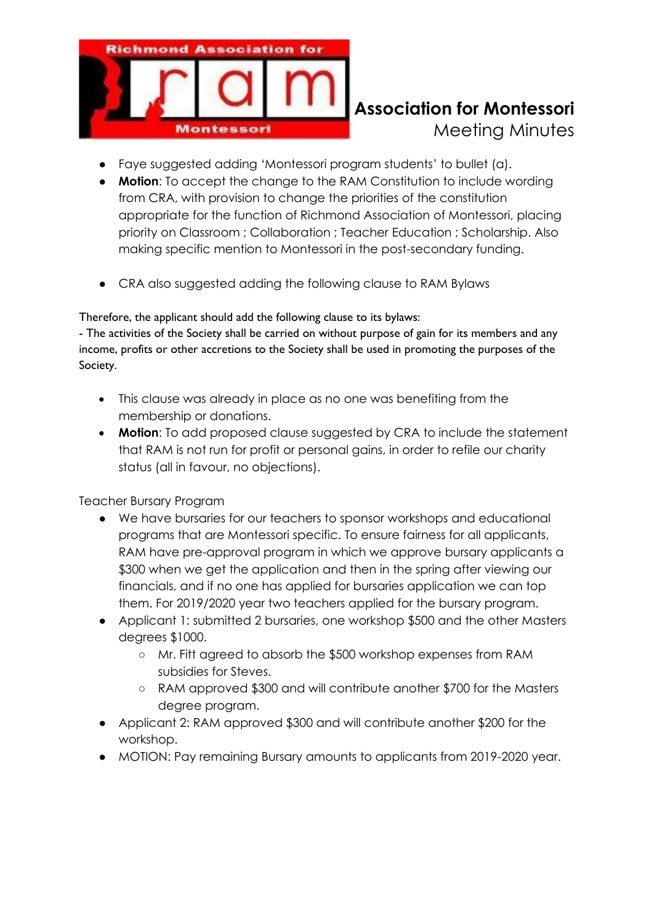

- Faye suggested adding 'Montessori program students' to bullet (a).
- **Motion**: To accept the change to the RAM Constitution to include wording from CRA, with provision to change the priorities of the constitution appropriate for the function of Richmond Association of Montessori, placing priority on Classroom ; Collaboration ; Teacher Education ; Scholarship. Also making specific mention to Montessori in the post-secondary funding.
- CRA also suggested adding the following clause to RAM Bylaws

Therefore, the applicant should add the following clause to its bylaws:

- The activities of the Society shall be carried on without purpose of gain for its members and any income, profits or other accretions to the Society shall be used in promoting the purposes of the Society.

- This clause was already in place as no one was benefiting from the membership or donations.
- **Motion**: To add proposed clause suggested by CRA to include the statement that RAM is not run for profit or personal gains, in order to refile our charity status (all in favour, no objections).

Teacher Bursary Program

- We have bursaries for our teachers to sponsor workshops and educational programs that are Montessori specific. To ensure fairness for all applicants, RAM have pre-approval program in which we approve bursary applicants a \$300 when we get the application and then in the spring after viewing our financials, and if no one has applied for bursaries application we can top them. For 2019/2020 year two teachers applied for the bursary program.
- Applicant 1: submitted 2 bursaries, one workshop \$500 and the other Masters degrees \$1000.
	- Mr. Fitt agreed to absorb the \$500 workshop expenses from RAM subsidies for Steves.
	- RAM approved \$300 and will contribute another \$700 for the Masters degree program.
- Applicant 2: RAM approved \$300 and will contribute another \$200 for the workshop.
- MOTION: Pay remaining Bursary amounts to applicants from 2019-2020 year.